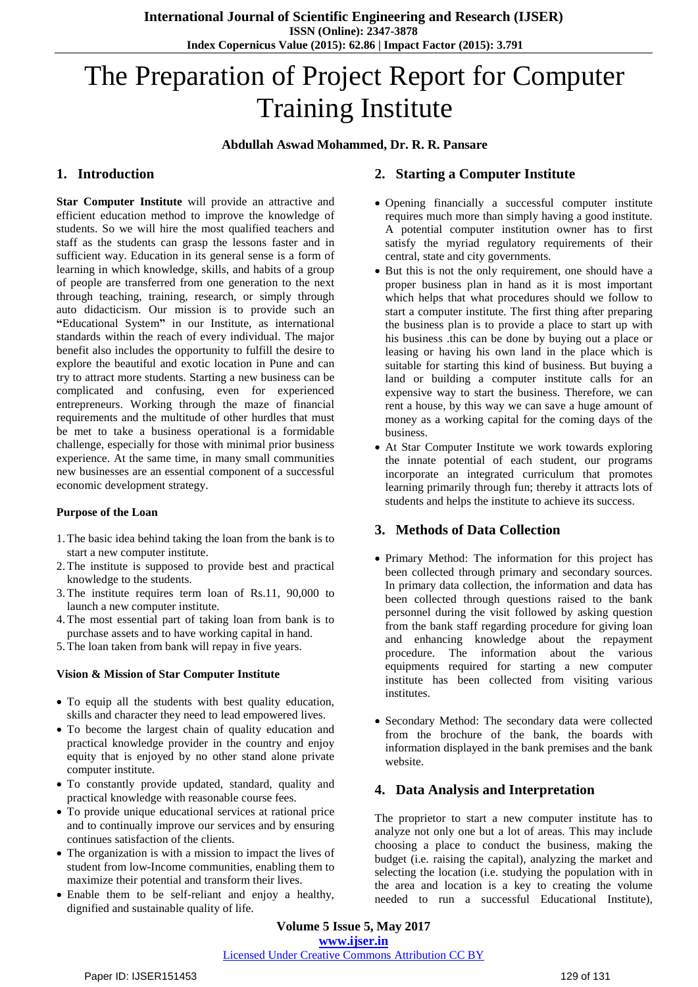# The Preparation of Project Report for Computer Training Institute

## **Abdullah Aswad Mohammed, Dr. R. R. Pansare**

# **1. Introduction**

**Star Computer Institute** will provide an attractive and efficient education method to improve the knowledge of students. So we will hire the most qualified teachers and staff as the students can grasp the lessons faster and in sufficient way. Education in its general sense is a form of [learning](http://en.wikipedia.org/wiki/Learning) in which [knowledge,](http://en.wikipedia.org/wiki/Knowledge) [skills,](http://en.wikipedia.org/wiki/Skills) and [habits](http://en.wikipedia.org/wiki/Habit_(psychology)) of a group of people are transferred from one generation to the next through teaching, training, research, or simply through auto [didacticism.](http://en.wikipedia.org/wiki/Autodidacticism) Our mission is to provide such an **"**Educational System**"** in our Institute, as international standards within the reach of every individual. The major benefit also includes the opportunity to fulfill the desire to explore the beautiful and exotic location in Pune and can try to attract more students. Starting a new business can be complicated and confusing, even for experienced entrepreneurs. Working through the maze of financial requirements and the multitude of other hurdles that must be met to take a business operational is a formidable challenge, especially for those with minimal prior business experience. At the same time, in many small communities new businesses are an essential component of a successful economic development strategy.

## **Purpose of the Loan**

- 1.The basic idea behind taking the loan from the bank is to start a new computer institute.
- 2.The institute is supposed to provide best and practical knowledge to the students.
- 3.The institute requires term loan of Rs.11, 90,000 to launch a new computer institute.
- 4.The most essential part of taking loan from bank is to purchase assets and to have working capital in hand.
- 5.The loan taken from bank will repay in five years.

#### **Vision & Mission of Star Computer Institute**

- To equip all the students with best quality education, skills and character they need to lead empowered lives.
- To become the largest chain of quality education and practical knowledge provider in the country and enjoy equity that is enjoyed by no other stand alone private computer institute.
- To constantly provide updated, standard, quality and practical knowledge with reasonable course fees.
- To provide unique educational services at rational price and to continually improve our services and by ensuring continues satisfaction of the clients.
- The organization is with a mission to impact the lives of student from low-Income communities, enabling them to maximize their potential and transform their lives.
- Enable them to be self-reliant and enjoy a healthy, dignified and sustainable quality of life.

# **2. Starting a Computer Institute**

- Opening financially a successful computer institute requires much more than simply having a good institute. A potential computer institution owner has to first satisfy the myriad regulatory requirements of their central, state and city governments.
- But this is not the only requirement, one should have a proper business plan in hand as it is most important which helps that what procedures should we follow to start a computer institute. The first thing after preparing the business plan is to provide a place to start up with his business .this can be done by buying out a place or leasing or having his own land in the place which is suitable for starting this kind of business. But buying a land or building a computer institute calls for an expensive way to start the business. Therefore, we can rent a house, by this way we can save a huge amount of money as a working capital for the coming days of the business.
- At Star Computer Institute we work towards exploring the innate potential of each student, our programs incorporate an integrated curriculum that promotes learning primarily through fun; thereby it attracts lots of students and helps the institute to achieve its success.

# **3. Methods of Data Collection**

- Primary Method: The information for this project has been collected through primary and secondary sources. In primary data collection, the information and data has been collected through questions raised to the bank personnel during the visit followed by asking question from the bank staff regarding procedure for giving loan and enhancing knowledge about the repayment procedure. The information about the various equipments required for starting a new computer institute has been collected from visiting various institutes.
- Secondary Method: The secondary data were collected from the brochure of the bank, the boards with information displayed in the bank premises and the bank website.

# **4. Data Analysis and Interpretation**

The proprietor to start a new computer institute has to analyze not only one but a lot of areas. This may include choosing a place to conduct the business, making the budget (i.e. raising the capital), analyzing the market and selecting the location (i.e. studying the population with in the area and location is a key to creating the volume needed to run a successful Educational Institute),

**Volume 5 Issue 5, May 2017 www.ijser.in** Licensed Under Creative Commons Attribution CC BY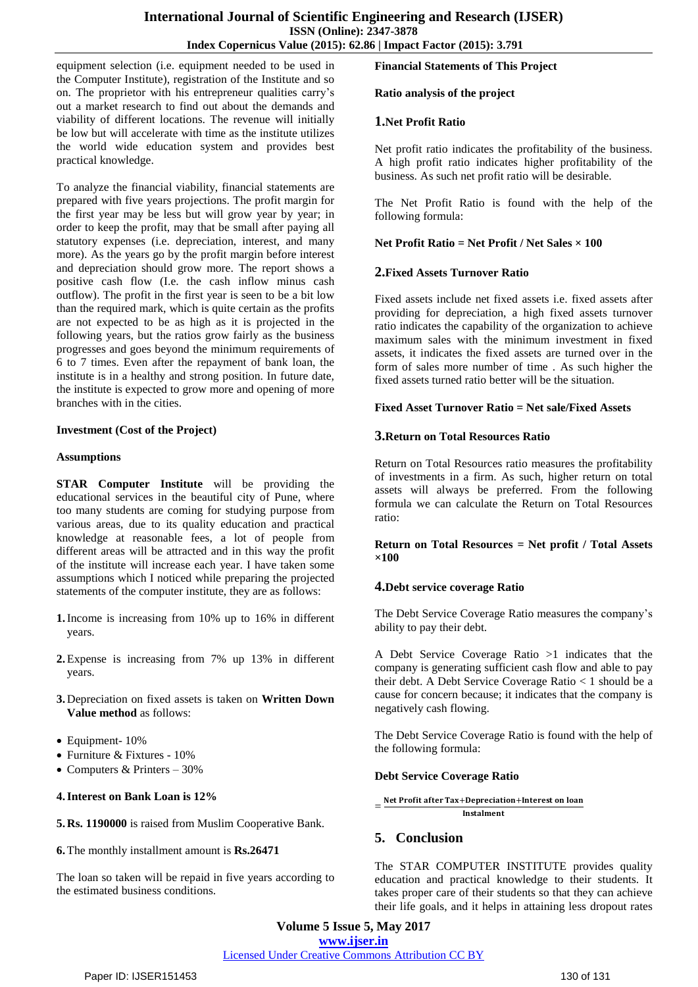equipment selection (i.e. equipment needed to be used in the Computer Institute), registration of the Institute and so on. The proprietor with his entrepreneur qualities carry's out a market research to find out about the demands and viability of different locations. The revenue will initially be low but will accelerate with time as the institute utilizes the world wide education system and provides best practical knowledge.

To analyze the financial viability, financial statements are prepared with five years projections. The profit margin for the first year may be less but will grow year by year; in order to keep the profit, may that be small after paying all statutory expenses (i.e. depreciation, interest, and many more). As the years go by the profit margin before interest and depreciation should grow more. The report shows a positive cash flow (I.e. the cash inflow minus cash outflow). The profit in the first year is seen to be a bit low than the required mark, which is quite certain as the profits are not expected to be as high as it is projected in the following years, but the ratios grow fairly as the business progresses and goes beyond the minimum requirements of 6 to 7 times. Even after the repayment of bank loan, the institute is in a healthy and strong position. In future date, the institute is expected to grow more and opening of more branches with in the cities.

#### **Investment (Cost of the Project)**

#### **Assumptions**

**STAR Computer Institute** will be providing the educational services in the beautiful city of Pune, where too many students are coming for studying purpose from various areas, due to its quality education and practical knowledge at reasonable fees, a lot of people from different areas will be attracted and in this way the profit of the institute will increase each year. I have taken some assumptions which I noticed while preparing the projected statements of the computer institute, they are as follows:

- **1.**Income is increasing from 10% up to 16% in different years.
- **2.**Expense is increasing from 7% up 13% in different years.
- **3.** Depreciation on fixed assets is taken on **Written Down Value method** as follows:
- Equipment- 10%
- Furniture & Fixtures 10%
- Computers & Printers  $30\%$

#### **4.Interest on Bank Loan is 12%**

**5. Rs. 1190000** is raised from Muslim Cooperative Bank.

**6.**The monthly installment amount is **Rs.26471**

The loan so taken will be repaid in five years according to the estimated business conditions.

## **Financial Statements of This Project**

#### **Ratio analysis of the project**

#### **1.Net Profit Ratio**

Net profit ratio indicates the profitability of the business. A high profit ratio indicates higher profitability of the business. As such net profit ratio will be desirable.

The Net Profit Ratio is found with the help of the following formula:

#### **Net Profit Ratio = Net Profit / Net Sales × 100**

## **2.Fixed Assets Turnover Ratio**

Fixed assets include net fixed assets i.e. fixed assets after providing for depreciation, a high fixed assets turnover ratio indicates the capability of the organization to achieve maximum sales with the minimum investment in fixed assets, it indicates the fixed assets are turned over in the form of sales more number of time . As such higher the fixed assets turned ratio better will be the situation.

## **Fixed Asset Turnover Ratio = Net sale/Fixed Assets**

## **3.Return on Total Resources Ratio**

Return on Total Resources ratio measures the profitability of investments in a firm. As such, higher return on total assets will always be preferred. From the following formula we can calculate the Return on Total Resources ratio:

#### **Return on Total Resources = Net profit / Total Assets ×100**

#### **4.Debt service coverage Ratio**

The Debt Service Coverage Ratio measures the company's ability to pay their debt.

A Debt Service Coverage Ratio >1 indicates that the company is generating sufficient cash flow and able to pay their debt. A Debt Service Coverage Ratio < 1 should be a cause for concern because; it indicates that the company is negatively cash flowing.

The Debt Service Coverage Ratio is found with the help of the following formula:

#### **Debt Service Coverage Ratio**

#### $=\frac{\text{Net Profit after Tax+Depreciation+Interest on loan}}{ \text{Actual result}}$ Instalment

# **5. Conclusion**

The STAR COMPUTER INSTITUTE provides quality education and practical knowledge to their students. It takes proper care of their students so that they can achieve their life goals, and it helps in attaining less dropout rates

**Volume 5 Issue 5, May 2017 www.ijser.in**

Licensed Under Creative Commons Attribution CC BY